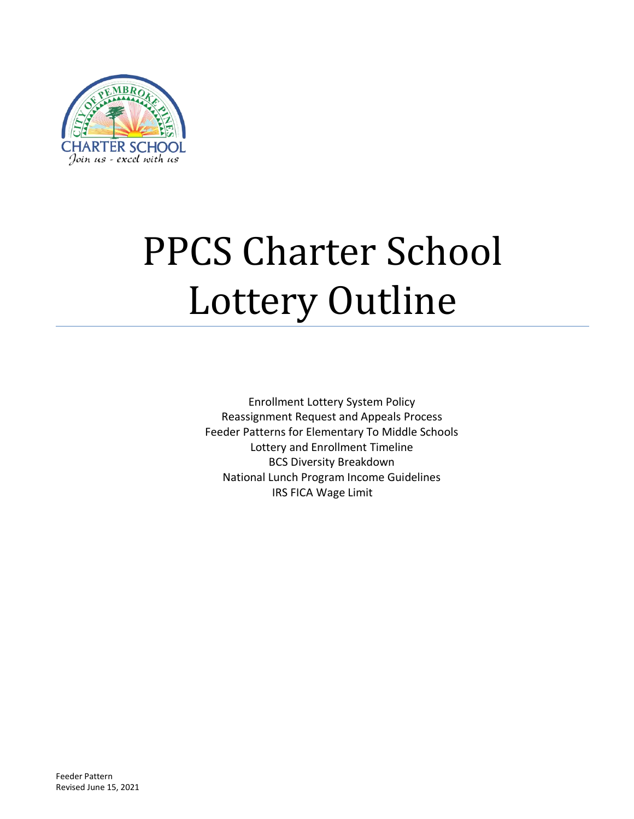

# PPCS Charter School Lottery Outline

Enrollment Lottery System Policy Reassignment Request and Appeals Process Feeder Patterns for Elementary To Middle Schools Lottery and Enrollment Timeline BCS Diversity Breakdown National Lunch Program Income Guidelines IRS FICA Wage Limit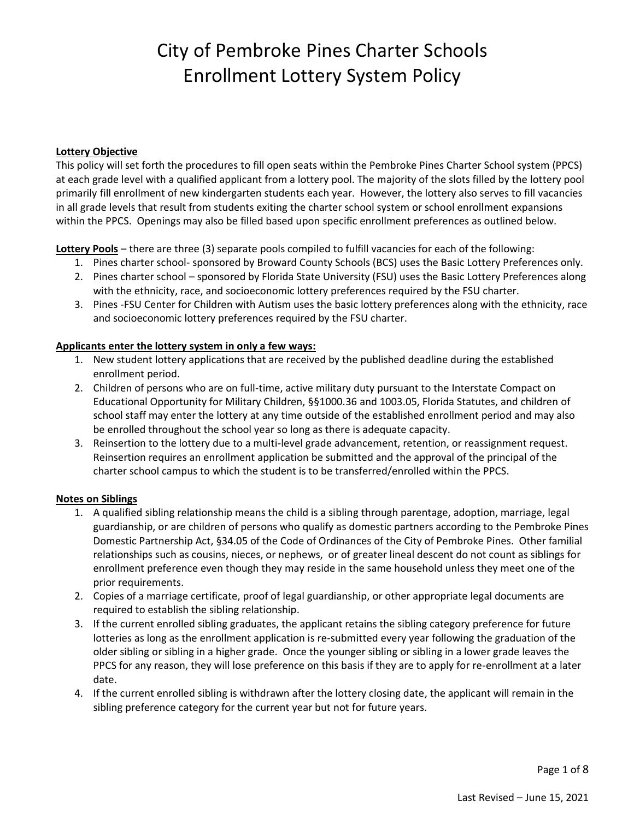#### **Lottery Objective**

This policy will set forth the procedures to fill open seats within the Pembroke Pines Charter School system (PPCS) at each grade level with a qualified applicant from a lottery pool. The majority of the slots filled by the lottery pool primarily fill enrollment of new kindergarten students each year. However, the lottery also serves to fill vacancies in all grade levels that result from students exiting the charter school system or school enrollment expansions within the PPCS. Openings may also be filled based upon specific enrollment preferences as outlined below.

**Lottery Pools** – there are three (3) separate pools compiled to fulfill vacancies for each of the following:

- 1. Pines charter school- sponsored by Broward County Schools (BCS) uses the Basic Lottery Preferences only.
- 2. Pines charter school sponsored by Florida State University (FSU) uses the Basic Lottery Preferences along with the ethnicity, race, and socioeconomic lottery preferences required by the FSU charter.
- 3. Pines -FSU Center for Children with Autism uses the basic lottery preferences along with the ethnicity, race and socioeconomic lottery preferences required by the FSU charter.

#### **Applicants enter the lottery system in only a few ways:**

- 1. New student lottery applications that are received by the published deadline during the established enrollment period.
- 2. Children of persons who are on full-time, active military duty pursuant to the Interstate Compact on Educational Opportunity for Military Children, §§1000.36 and 1003.05, Florida Statutes, and children of school staff may enter the lottery at any time outside of the established enrollment period and may also be enrolled throughout the school year so long as there is adequate capacity.
- 3. Reinsertion to the lottery due to a multi-level grade advancement, retention, or reassignment request. Reinsertion requires an enrollment application be submitted and the approval of the principal of the charter school campus to which the student is to be transferred/enrolled within the PPCS.

#### **Notes on Siblings**

- 1. A qualified sibling relationship means the child is a sibling through parentage, adoption, marriage, legal guardianship, or are children of persons who qualify as domestic partners according to the Pembroke Pines Domestic Partnership Act, §34.05 of the Code of Ordinances of the City of Pembroke Pines. Other familial relationships such as cousins, nieces, or nephews, or of greater lineal descent do not count as siblings for enrollment preference even though they may reside in the same household unless they meet one of the prior requirements.
- 2. Copies of a marriage certificate, proof of legal guardianship, or other appropriate legal documents are required to establish the sibling relationship.
- 3. If the current enrolled sibling graduates, the applicant retains the sibling category preference for future lotteries as long as the enrollment application is re-submitted every year following the graduation of the older sibling or sibling in a higher grade. Once the younger sibling or sibling in a lower grade leaves the PPCS for any reason, they will lose preference on this basis if they are to apply for re-enrollment at a later date.
- 4. If the current enrolled sibling is withdrawn after the lottery closing date, the applicant will remain in the sibling preference category for the current year but not for future years.

Page 1 of 8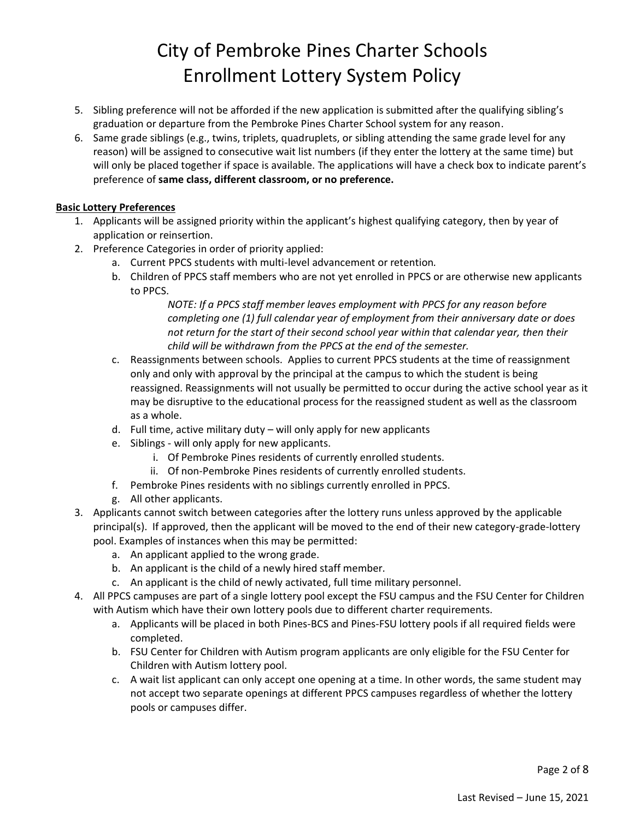- 5. Sibling preference will not be afforded if the new application is submitted after the qualifying sibling's graduation or departure from the Pembroke Pines Charter School system for any reason.
- 6. Same grade siblings (e.g., twins, triplets, quadruplets, or sibling attending the same grade level for any reason) will be assigned to consecutive wait list numbers (if they enter the lottery at the same time) but will only be placed together if space is available. The applications will have a check box to indicate parent's preference of **same class, different classroom, or no preference.**

#### **Basic Lottery Preferences**

- 1. Applicants will be assigned priority within the applicant's highest qualifying category, then by year of application or reinsertion.
- 2. Preference Categories in order of priority applied:
	- a. Current PPCS students with multi-level advancement or retention*.*
	- b. Children of PPCS staff members who are not yet enrolled in PPCS or are otherwise new applicants to PPCS.

*NOTE: If a PPCS staff member leaves employment with PPCS for any reason before completing one (1) full calendar year of employment from their anniversary date or does not return for the start of their second school year within that calendar year, then their child will be withdrawn from the PPCS at the end of the semester.*

- c. Reassignments between schools. Applies to current PPCS students at the time of reassignment only and only with approval by the principal at the campus to which the student is being reassigned. Reassignments will not usually be permitted to occur during the active school year as it may be disruptive to the educational process for the reassigned student as well as the classroom as a whole.
- d. Full time, active military duty will only apply for new applicants
- e. Siblings will only apply for new applicants.
	- i. Of Pembroke Pines residents of currently enrolled students.
	- ii. Of non-Pembroke Pines residents of currently enrolled students.
- f. Pembroke Pines residents with no siblings currently enrolled in PPCS.
- g. All other applicants.
- 3. Applicants cannot switch between categories after the lottery runs unless approved by the applicable principal(s). If approved, then the applicant will be moved to the end of their new category-grade-lottery pool. Examples of instances when this may be permitted:
	- a. An applicant applied to the wrong grade.
	- b. An applicant is the child of a newly hired staff member.
	- c. An applicant is the child of newly activated, full time military personnel.
- 4. All PPCS campuses are part of a single lottery pool except the FSU campus and the FSU Center for Children with Autism which have their own lottery pools due to different charter requirements.
	- a. Applicants will be placed in both Pines-BCS and Pines-FSU lottery pools if all required fields were completed.
	- b. FSU Center for Children with Autism program applicants are only eligible for the FSU Center for Children with Autism lottery pool.
	- c. A wait list applicant can only accept one opening at a time. In other words, the same student may not accept two separate openings at different PPCS campuses regardless of whether the lottery pools or campuses differ.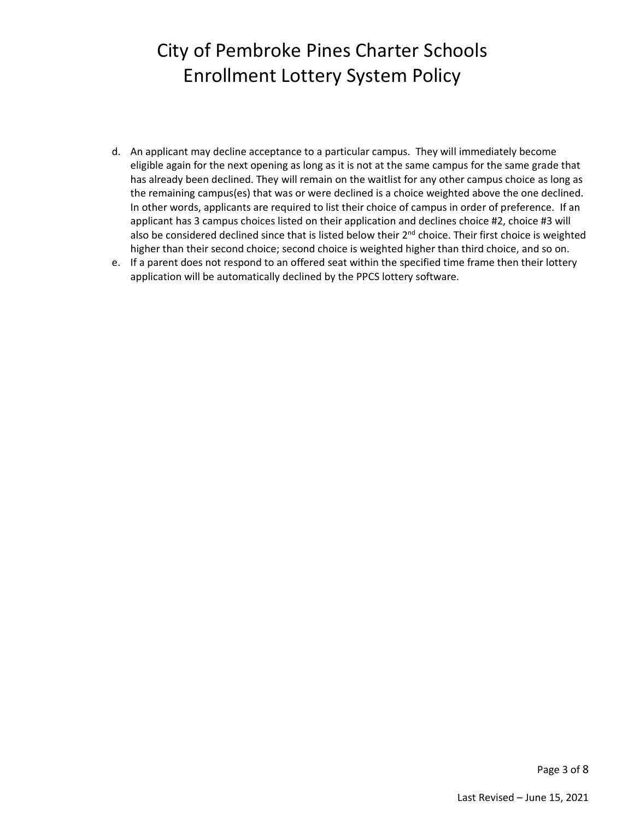- d. An applicant may decline acceptance to a particular campus. They will immediately become eligible again for the next opening as long as it is not at the same campus for the same grade that has already been declined. They will remain on the waitlist for any other campus choice as long as the remaining campus(es) that was or were declined is a choice weighted above the one declined. In other words, applicants are required to list their choice of campus in order of preference. If an applicant has 3 campus choices listed on their application and declines choice #2, choice #3 will also be considered declined since that is listed below their 2<sup>nd</sup> choice. Their first choice is weighted higher than their second choice; second choice is weighted higher than third choice, and so on.
- e. If a parent does not respond to an offered seat within the specified time frame then their lottery application will be automatically declined by the PPCS lottery software.

Page 3 of 8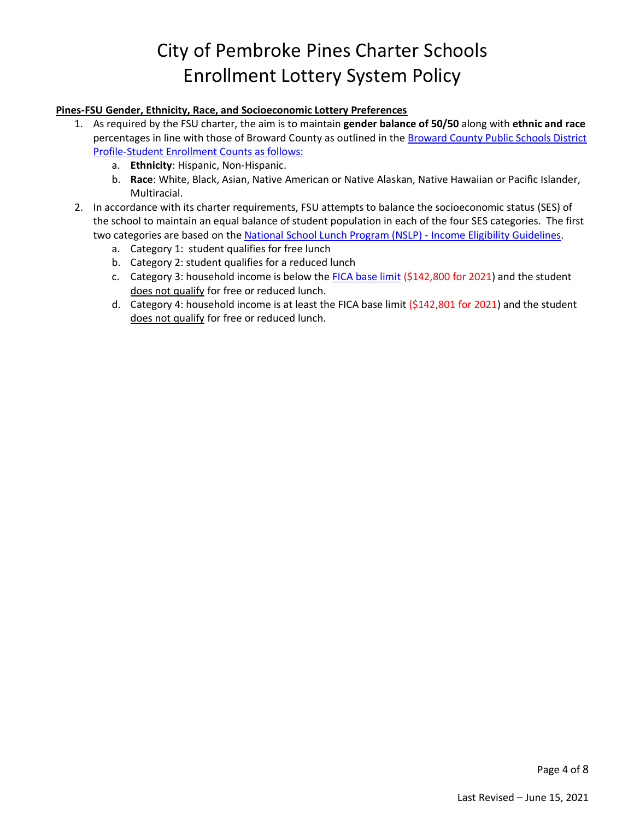#### **Pines-FSU Gender, Ethnicity, Race, and Socioeconomic Lottery Preferences**

- 1. As required by the FSU charter, the aim is to maintain **gender balance of 50/50** along with **ethnic and race** percentages in line with those of Broward County as outlined in the [Broward County Public Schools District](https://www.browardschools.com/Page/34033)  [Profile-Student Enrollment Counts](https://www.browardschools.com/Page/34033) as follows:
	- a. **Ethnicity**: Hispanic, Non-Hispanic.
	- b. **Race**: White, Black, Asian, Native American or Native Alaskan, Native Hawaiian or Pacific Islander, Multiracial.
- 2. In accordance with its charter requirements, FSU attempts to balance the socioeconomic status (SES) of the school to maintain an equal balance of student population in each of the four SES categories. The first two categories are based on the [National School Lunch Program \(NSLP\) -](https://www.govinfo.gov/content/pkg/FR-2019-03-20/pdf/2019-05183.pdf) Income Eligibility Guidelines.
	- a. Category 1: student qualifies for free lunch
	- b. Category 2: student qualifies for a reduced lunch
	- c. Category 3: household income is below the [FICA base limit](https://www.irs.gov/taxtopics/tc751) (\$142,800 for 2021) and the student does not qualify for free or reduced lunch.
	- d. Category 4: household income is at least the FICA base limit (\$142,801 for 2021) and the student does not qualify for free or reduced lunch.

Page 4 of 8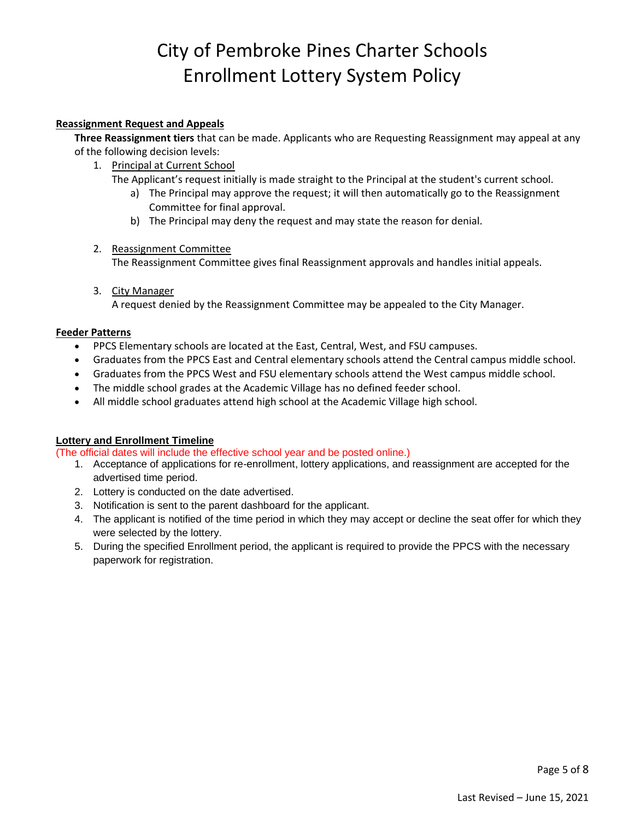#### **Reassignment Request and Appeals**

**Three Reassignment tiers** that can be made. Applicants who are Requesting Reassignment may appeal at any of the following decision levels:

- 1. Principal at Current School
	- The Applicant's request initially is made straight to the Principal at the student's current school.
		- a) The Principal may approve the request; it will then automatically go to the Reassignment Committee for final approval.
		- b) The Principal may deny the request and may state the reason for denial.
- 2. Reassignment Committee

The Reassignment Committee gives final Reassignment approvals and handles initial appeals.

3. City Manager A request denied by the Reassignment Committee may be appealed to the City Manager.

#### **Feeder Patterns**

- PPCS Elementary schools are located at the East, Central, West, and FSU campuses.
- Graduates from the PPCS East and Central elementary schools attend the Central campus middle school.
- Graduates from the PPCS West and FSU elementary schools attend the West campus middle school.
- The middle school grades at the Academic Village has no defined feeder school.
- All middle school graduates attend high school at the Academic Village high school.

#### **Lottery and Enrollment Timeline**

(The official dates will include the effective school year and be posted online.)

- 1. Acceptance of applications for re-enrollment, lottery applications, and reassignment are accepted for the advertised time period.
- 2. Lottery is conducted on the date advertised.
- 3. Notification is sent to the parent dashboard for the applicant.
- 4. The applicant is notified of the time period in which they may accept or decline the seat offer for which they were selected by the lottery.
- 5. During the specified Enrollment period, the applicant is required to provide the PPCS with the necessary paperwork for registration.

Page 5 of 8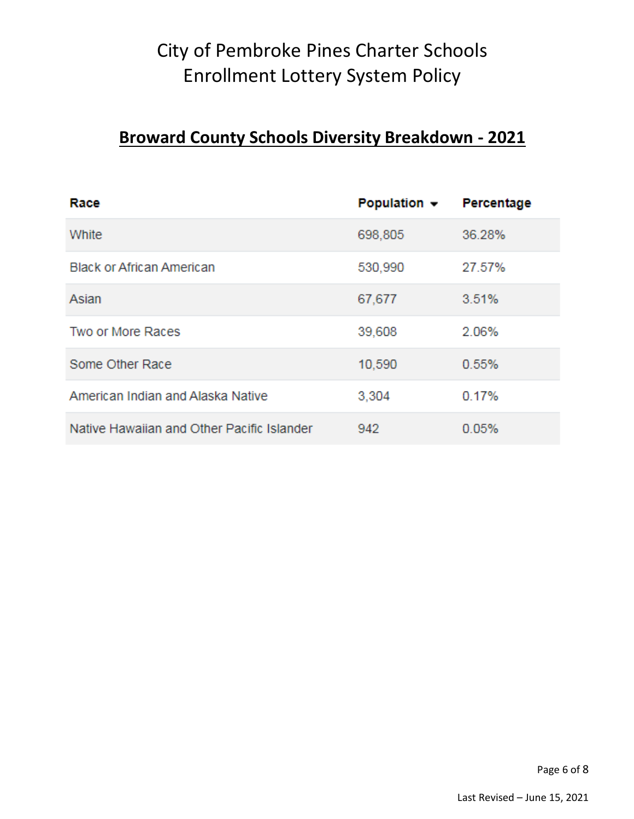### **Broward County Schools Diversity Breakdown - 2021**

| Race                                       | Population $\sim$ | Percentage |
|--------------------------------------------|-------------------|------------|
| White                                      | 698,805           | 36.28%     |
| <b>Black or African American</b>           | 530,990           | 27.57%     |
| Asian                                      | 67,677            | 3.51%      |
| Two or More Races                          | 39,608            | 2.06%      |
| Some Other Race                            | 10,590            | 0.55%      |
| American Indian and Alaska Native          | 3,304             | 0.17%      |
| Native Hawaiian and Other Pacific Islander | 942               | 0.05%      |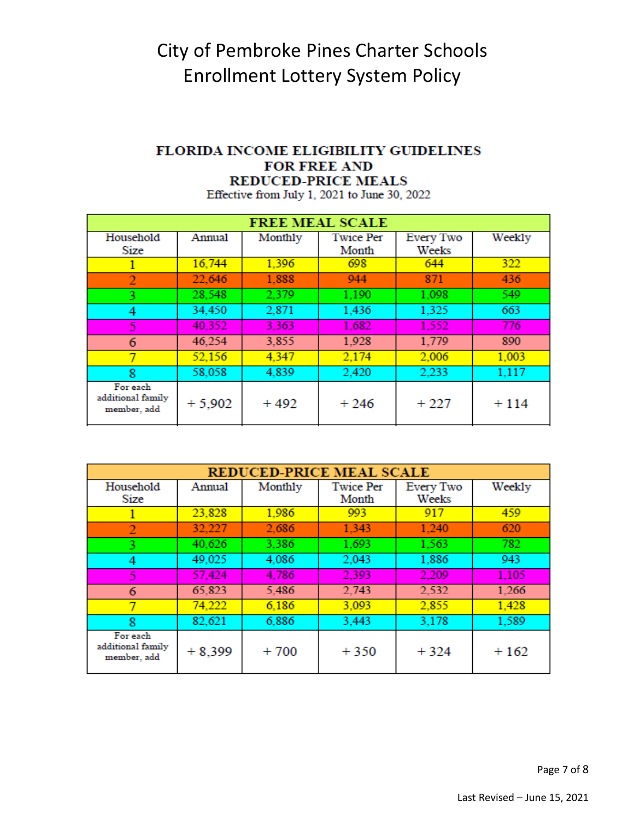#### FLORIDA INCOME ELIGIBILITY GUIDELINES **FOR FREE AND REDUCED-PRICE MEALS**

Effective from July 1, 2021 to June 30, 2022

| <b>FREE MEAL SCALE</b>                       |          |         |                  |           |        |  |
|----------------------------------------------|----------|---------|------------------|-----------|--------|--|
| Household                                    | Annual   | Monthly | <b>Twice Per</b> | Every Two | Weekly |  |
| Size                                         |          |         | Month            | Weeks     |        |  |
|                                              | 16,744   | 1.396   | 698              | 644       | 322    |  |
| $\overline{2}$                               | 22,646   | 1.888   | 944              | 871       | 436    |  |
| 3                                            | 28.548   | 2.379   | 1,190            | 1,098     | 549    |  |
| 4                                            | 34,450   | 2.871   | 1,436            | 1,325     | 663    |  |
| 5                                            | 40,352   | 3,363   | 1.682            | 1.552     | 776    |  |
| 6                                            | 46,254   | 3,855   | 1,928            | 1,779     | 890    |  |
|                                              | 52,156   | 4,347   | 2.174            | 2,006     | 1,003  |  |
| 8                                            | 58,058   | 4.839   | 2.420            | 2.233     | 1,117  |  |
| For each<br>additional family<br>member, add | $+5,902$ | $+492$  | $+246$           | $+227$    | $+114$ |  |

| <b>REDUCED-PRICE MEAL SCALE</b>              |          |         |                           |                    |        |  |
|----------------------------------------------|----------|---------|---------------------------|--------------------|--------|--|
| Household<br>Size                            | Annual   | Monthly | <b>Twice Per</b><br>Month | Every Two<br>Weeks | Weekly |  |
|                                              | 23,828   | 1.986   | 993                       | 917                | 459    |  |
| 2                                            | 32,227   | 2.686   | 1.343                     | 1.240              | 620    |  |
| 3                                            | 40.626   | 3.386   | 1,693                     | 1,563              | 782    |  |
| 4                                            | 49,025   | 4.086   | 2,043                     | 1,886              | 943    |  |
| 5                                            | 57,424   | 4.786   | 2.393                     | 2.209              | 1,105  |  |
| 6                                            | 65,823   | 5.486   | 2.743                     | 2,532              | 1,266  |  |
| 7                                            | 74.222   | 6.186   | 3,093                     | 2,855              | 1,428  |  |
| 8                                            | 82.621   | 6.886   | 3.443                     | 3.178              | 1,589  |  |
| For each<br>additional family<br>member, add | $+8,399$ | $+700$  | $+350$                    | $+324$             | $+162$ |  |